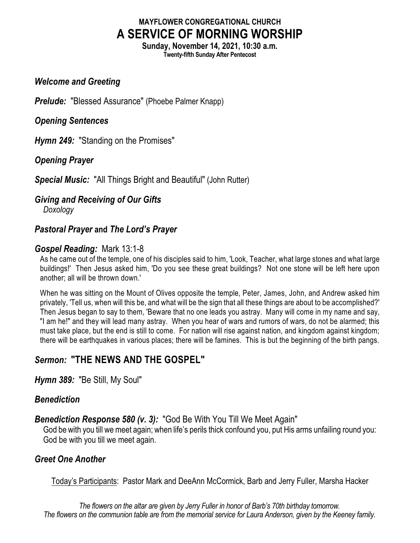# **MAYFLOWER CONGREGATIONAL CHURCH A SERVICE OF MORNING WORSHIP**

**Sunday, November 14, 2021, 10:30 a.m. Twenty-fifth Sunday After Pentecost**

### *Welcome and Greeting*

*Prelude:* "Blessed Assurance" (Phoebe Palmer Knapp)

### *Opening Sentences*

*Hymn 249:* "Standing on the Promises"

*Opening Prayer*

*Special Music:* "All Things Bright and Beautiful" (John Rutter)

# *Giving and Receiving of Our Gifts Doxology*

# *Pastoral Prayer* **and** *The Lord's Prayer*

#### *Gospel Reading:* Mark 13:1-8

As he came out of the temple, one of his disciples said to him, 'Look, Teacher, what large stones and what large buildings!' Then Jesus asked him, 'Do you see these great buildings? Not one stone will be left here upon another; all will be thrown down.'

When he was sitting on the Mount of Olives opposite the temple, Peter, James, John, and Andrew asked him privately, 'Tell us, when will this be, and what will be the sign that all these things are about to be accomplished?' Then Jesus began to say to them, 'Beware that no one leads you astray. Many will come in my name and say, "I am he!" and they will lead many astray. When you hear of wars and rumors of wars, do not be alarmed; this must take place, but the end is still to come. For nation will rise against nation, and kingdom against kingdom; there will be earthquakes in various places; there will be famines. This is but the beginning of the birth pangs.

# *Sermon:* **"THE NEWS AND THE GOSPEL"**

*Hymn 389:* "Be Still, My Soul"

# *Benediction*

## *Benediction Response 580 (v. 3):* "God Be With You Till We Meet Again"

God be with you till we meet again; when life's perils thick confound you, put His arms unfailing round you: God be with you till we meet again.

## *Greet One Another*

Today's Participants: Pastor Mark and DeeAnn McCormick, Barb and Jerry Fuller, Marsha Hacker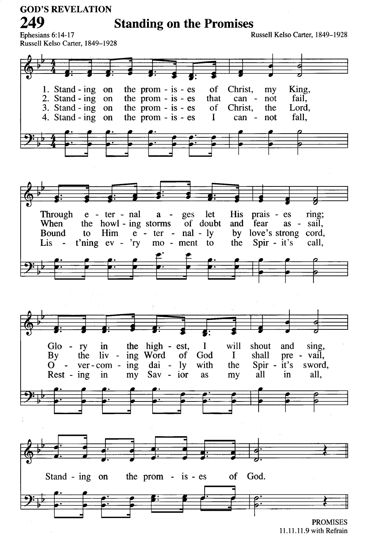**GOD'S REVELATION** 249

**Standing on the Promises** 

Russell Kelso Carter, 1849-1928

Ephesians 6:14-17 Russell Kelso Carter, 1849-1928



11.11.11.9 with Refrain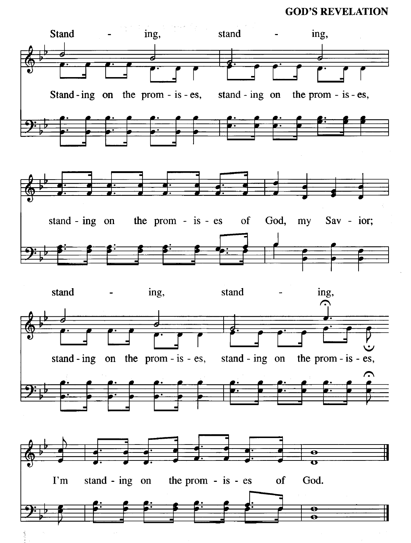#### **GOD'S REVELATION**

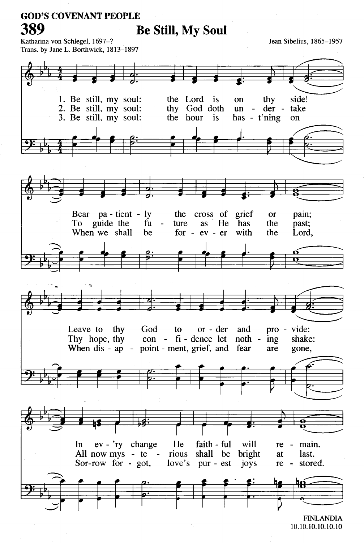#### **GOD'S COVENANT PEOPLE** 389 **Be Still, My Soul** Katharina von Schlegel, 1697-? Jean Sibelius, 1865-1957 Trans. by Jane L. Borthwick, 1813-1897 1. Be still, my soul: side! the Lord is thy on 2. Be still, my soul: thy God doth der take un 3. Be still, my soul: the hour *is* has -  $t'$ ning on Bear pa - tient - ly the cross of grief pain; **or** To guide the fu ture He has the as past; When we shall be for  $-ev - er$ with the Lord, Ó pro - vide: Leave to thy God to  $or - der$ and Thy hope, thy  $con - fi -$  dence let noth ing shake: When dis - ap - point - ment, grief, and fear are gone, ev - 'ry change faith - ful  $\ln$ He will main. re All now mys - te rious shall be bright last. at Sor-row for - got, love's pur - est joys  $re$ stored. **FINLANDIA**

10.10.10.10.10.10